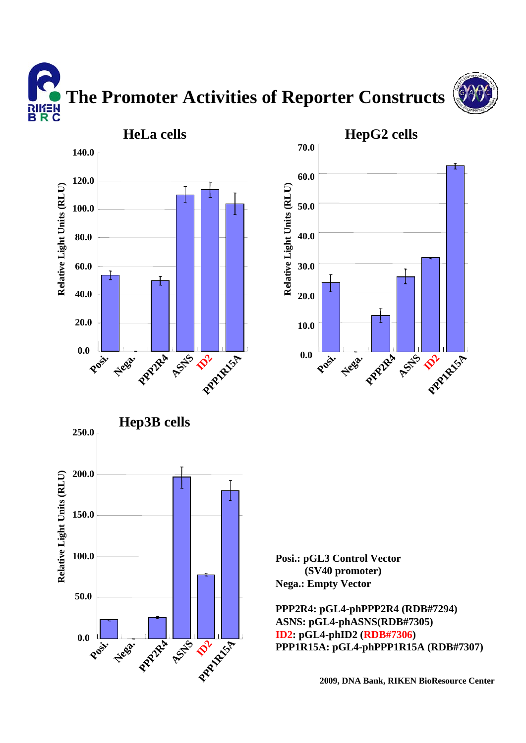**The Promoter Activities of Reporter Constructs** א∃*ו*וא<br>B R C



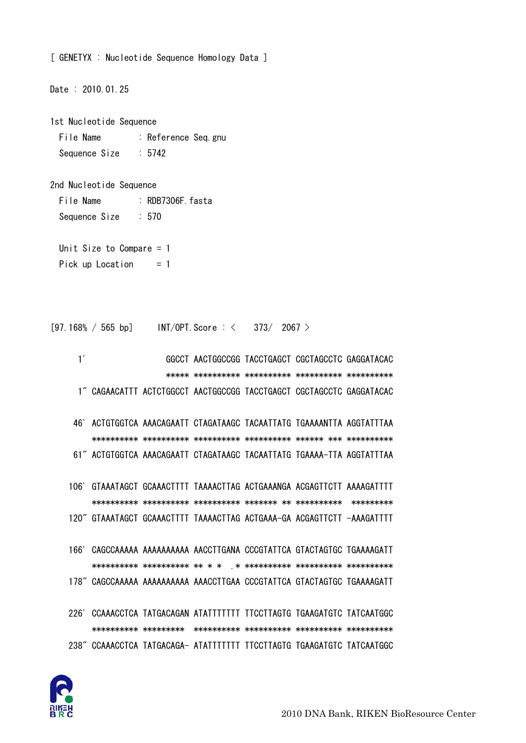

106' GTAAATAGCT GCAAACTTTT TAAAACTTAG ACTGAAANGA ACGAGTTCTT AAAAGATTTT 120" GTAAATAGCT GCAAACTTTT TAAAACTTAG ACTGAAA-GA ACGAGTTCTT -AAAGATTTT 166' CAGCCAAAAA AAAAAAAAAA AACCTTGANA CCCGTATTCA GTACTAGTGC TGAAAAGATT 178" CAGCCAAAAA AAAAAAAAAA AAACCTTGAA CCCGTATTCA GTACTAGTGC TGAAAAGATT 226' CCAAACCTCA TATGACAGAN ATATTTTTTT TTCCTTAGTG TGAAGATGTC TATCAATGGC 238" CCAAACCTCA TATGACAGA- ATATTTTTTT TTCCTTAGTG TGAAGATGTC TATCAATGGC

- 46' ACTGTGGTCA AAACAGAATT CTAGATAAGC TACAATTATG TGAAAANTTA AGGTATTTAA 61" ACTGTGGTCA AAACAGAATT CTAGATAAGC TACAATTATG TGAAAA-TTA AGGTATTTAA
- $1'$ GGCCT AACTGGCCGG TACCTGAGCT CGCTAGCCTC GAGGATACAC 1" CAGAACATTT ACTCTGGCCT AACTGGCCGG TACCTGAGCT CGCTAGCCTC GAGGATACAC

 $373/2067$ 

File Name : RDB7306F fasta  $: 570$ Sequence Size Unit Size to Compare  $= 1$ Pick up Location  $= 1$ 

2nd Nucleotide Sequence

Date: 2010.01.25

1st Nucleotide Sequence File Name : Reference Seq.gnu Sequence Size  $: 5742$ 

 $[97.168\% / 565 bp]$  INT/OPT Score : <

[ GENETYX : Nucleotide Sequence Homology Data ]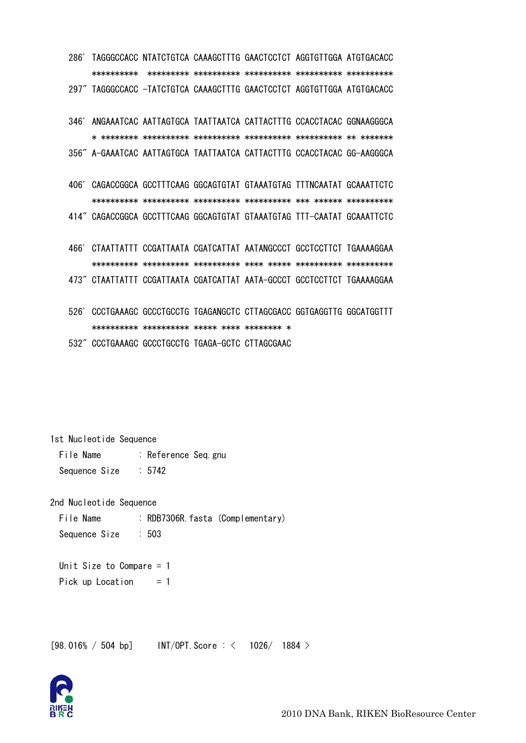286' TAGGGCCACC NTATCTGTCA CAAAGCTTTG GAACTCCTCT AGGTGTTGGA ATGTGACACC 297" TAGGGCCACC -TATCTGTCA CAAAGCTTTG GAACTCCTCT AGGTGTTGGA ATGTGACACC

346' ANGAAATCAC AATTAGTGCA TAATTAATCA CATTACTTTG CCACCTACAC GGNAAGGGCA 356" A-GAAATCAC AATTAGTGCA TAATTAATCA CATTACTTTG CCACCTACAC GG-AAGGGCA

406' CAGACCGGCA GCCTTTCAAG GGCAGTGTAT GTAAATGTAG TTTNCAATAT GCAAATTCTC 414" CAGACCGGCA GCCTTTCAAG GGCAGTGTAT GTAAATGTAG TTT-CAATAT GCAAATTCTC

466' CTAATTATTT CCGATTAATA CGATCATTAT AATANGCCCT GCCTCCTTCT TGAAAAGGAA 473" CTAATTATTT CCGATTAATA CGATCATTAT AATA-GCCCT GCCTCCTTCT TGAAAAGGAA

526' CCCTGAAAGC GCCCTGCCTG TGAGANGCTC CTTAGCGACC GGTGAGGTTG GGCATGGTTT 532" CCCTGAAAGC GCCCTGCCTG TGAGA-GCTC CTTAGCGAAC

1st Nucleotide Sequence

: Reference Seq. gnu File Name Sequence Size  $: 5742$ 

2nd Nucleotide Sequence

File Name : RDB7306R. fasta (Complementary) Sequence Size  $:503$ 

Unit Size to Compare  $= 1$ Pick up Location  $= 1$ 

 $[98.016\% / 504 bp]$  INT/OPT. Score: < 1026/ 1884 >

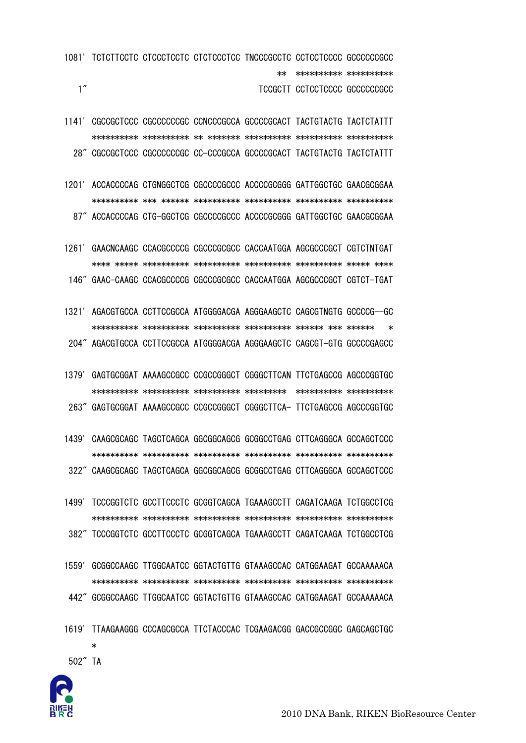

502" TA

÷

- 1619' TTAAGAAGGG CCCAGCGCCA TTCTACCCAC TCGAAGACGG GACCGCCGGC GAGCAGCTGC
- 1559' GCGGCCAAGC TTGGCAATCC GGTACTGTTG GTAAAGCCAC CATGGAAGAT GCCAAAAACA 442" GCGGCCAAGC TTGGCAATCC GGTACTGTTG GTAAAGCCAC CATGGAAGAT GCCAAAAACA
- 1499' TCCCGGTCTC GCCTTCCCTC GCGGTCAGCA TGAAAGCCTT CAGATCAAGA TCTGGCCTCG 382" TCCCGGTCTC GCCTTCCCTC GCGGTCAGCA TGAAAGCCTT CAGATCAAGA TCTGGCCTCG
- 1439' CAAGCGCAGC TAGCTCAGCA GGCGGCAGCG GCGGCCTGAG CTTCAGGGCA GCCAGCTCCC 322" CAAGCGCAGC TAGCTCAGCA GGCGGCAGCG GCGGCCTGAG CTTCAGGGCA GCCAGCTCCC
- 263" GAGTGCGGAT AAAAGCCGCC CCGCCGGGCT CGGGCTTCA- TTCTGAGCCG AGCCCGGTGC

1379' GAGTGCGGAT AAAAGCCGCC CCGCCGGGCT CGGGCTTCAN TTCTGAGCCG AGCCCGGTGC

- 1321' AGACGTGCCA CCTTCCGCCA ATGGGGACGA AGGGAAGCTC CAGCGTNGTG GCCCCG--GC  $\ast$ 204" AGACGTGCCA CCTTCCGCCA ATGGGGACGA AGGGAAGCTC CAGCGT-GTG GCCCCGAGCC
- 1261' GAACNCAAGC CCACGCCCCG CGCCCGCGCC CACCAATGGA AGCGCCCGCT CGTCTNTGAT 146" GAAC-CAAGC CCACGCCCCG CGCCCGCGCC CACCAATGGA AGCGCCCGCT CGTCT-TGAT
- 1201' ACCACCCCAG CTGNGGCTCG CGCCCCGCCC ACCCCGCGGG GATTGGCTGC GAACGCGGAA 87" ACCACCCCAG CTG-GGCTCG CGCCCCGCCC ACCCCGCGGG GATTGGCTGC GAACGCGGAA
- 1141' CGCCGCTCCC CGCCCCCCGC CCNCCCGCCA GCCCCGCACT TACTGTACTG TACTCTATTT 28" CGCCGCTCCC CGCCCCCCGC CC-CCCGCCA GCCCCGCACT TACTGTACTG TACTCTATTT
- 1081' TCTCTTCCTC CTCCCTCCTC CTCTCCCTCC TNCCCGCCTC CCTCCTCCCC GCCCCCCGCC \*\* \*\*\*\*\*\*\*\*\*\*\* \*\*\*\*\*\*\*\*\*\*  $1''$ TCCGCTT CCTCCTCCCC GCCCCCCCGCC